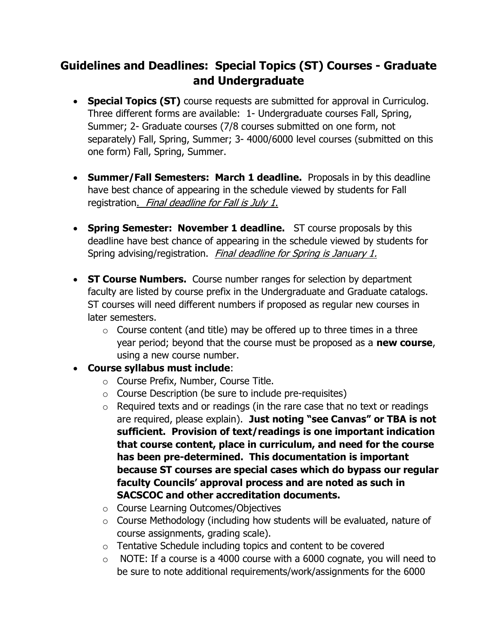## Guidelines and Deadlines: Special Topics (ST) Courses - Graduate and Undergraduate

- Special Topics (ST) course requests are submitted for approval in Curriculog. Three different forms are available: 1- Undergraduate courses Fall, Spring, Summer; 2- Graduate courses (7/8 courses submitted on one form, not separately) Fall, Spring, Summer; 3- 4000/6000 level courses (submitted on this one form) Fall, Spring, Summer.
- Summer/Fall Semesters: March 1 deadline. Proposals in by this deadline have best chance of appearing in the schedule viewed by students for Fall registration. Final deadline for Fall is July 1.
- Spring Semester: November 1 deadline. ST course proposals by this deadline have best chance of appearing in the schedule viewed by students for Spring advising/registration. Final deadline for Spring is January 1.
- ST Course Numbers. Course number ranges for selection by department faculty are listed by course prefix in the Undergraduate and Graduate catalogs. ST courses will need different numbers if proposed as regular new courses in later semesters.
	- $\circ$  Course content (and title) may be offered up to three times in a three year period; beyond that the course must be proposed as a **new course**, using a new course number.
- Course syllabus must include:
	- o Course Prefix, Number, Course Title.
	- $\circ$  Course Description (be sure to include pre-requisites)
	- $\circ$  Required texts and or readings (in the rare case that no text or readings are required, please explain). Just noting "see Canvas" or TBA is not sufficient. Provision of text/readings is one important indication that course content, place in curriculum, and need for the course has been pre-determined. This documentation is important because ST courses are special cases which do bypass our regular faculty Councils' approval process and are noted as such in SACSCOC and other accreditation documents.
	- o Course Learning Outcomes/Objectives
	- o Course Methodology (including how students will be evaluated, nature of course assignments, grading scale).
	- o Tentative Schedule including topics and content to be covered
	- $\circ$  NOTE: If a course is a 4000 course with a 6000 cognate, you will need to be sure to note additional requirements/work/assignments for the 6000